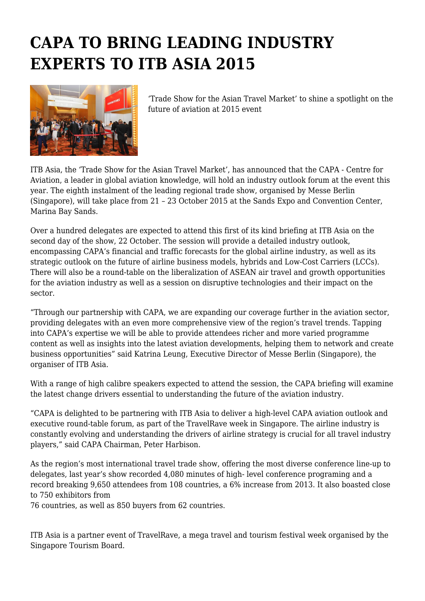# **CAPA TO BRING LEADING INDUSTRY EXPERTS TO ITB ASIA 2015**



'Trade Show for the Asian Travel Market' to shine a spotlight on the future of aviation at 2015 event

ITB Asia, the 'Trade Show for the Asian Travel Market', has announced that the CAPA - Centre for Aviation, a leader in global aviation knowledge, will hold an industry outlook forum at the event this year. The eighth instalment of the leading regional trade show, organised by Messe Berlin (Singapore), will take place from 21 – 23 October 2015 at the Sands Expo and Convention Center, Marina Bay Sands.

Over a hundred delegates are expected to attend this first of its kind briefing at ITB Asia on the second day of the show, 22 October. The session will provide a detailed industry outlook, encompassing CAPA's financial and traffic forecasts for the global airline industry, as well as its strategic outlook on the future of airline business models, hybrids and Low-Cost Carriers (LCCs). There will also be a round-table on the liberalization of ASEAN air travel and growth opportunities for the aviation industry as well as a session on disruptive technologies and their impact on the sector.

"Through our partnership with CAPA, we are expanding our coverage further in the aviation sector, providing delegates with an even more comprehensive view of the region's travel trends. Tapping into CAPA's expertise we will be able to provide attendees richer and more varied programme content as well as insights into the latest aviation developments, helping them to network and create business opportunities" said Katrina Leung, Executive Director of Messe Berlin (Singapore), the organiser of ITB Asia.

With a range of high calibre speakers expected to attend the session, the CAPA briefing will examine the latest change drivers essential to understanding the future of the aviation industry.

"CAPA is delighted to be partnering with ITB Asia to deliver a high-level CAPA aviation outlook and executive round-table forum, as part of the TravelRave week in Singapore. The airline industry is constantly evolving and understanding the drivers of airline strategy is crucial for all travel industry players," said CAPA Chairman, Peter Harbison.

As the region's most international travel trade show, offering the most diverse conference line-up to delegates, last year's show recorded 4,080 minutes of high- level conference programing and a record breaking 9,650 attendees from 108 countries, a 6% increase from 2013. It also boasted close to 750 exhibitors from

76 countries, as well as 850 buyers from 62 countries.

ITB Asia is a partner event of TravelRave, a mega travel and tourism festival week organised by the Singapore Tourism Board.